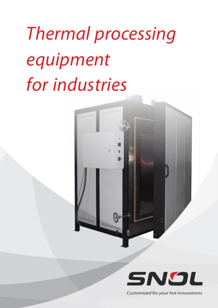# Thermal processing equipment for industries

**DRUGHAMMENT REAL** 

**Harbourness Communist Property** 

**HERRICHER** 



Customized for your hot innovations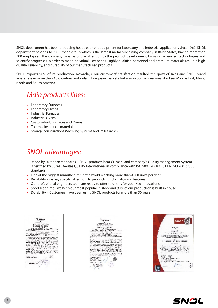SNOL department has been producing heat treatment equipment for laboratory and industrial applications since 1960. SNOL department belongs to JSC Umega group which is the largest metal processing company in Baltic States, having more than 700 employees. The company pays particular attention to the product development by using advanced technologies and scientific progresses in order to meet individual user needs. Highly qualified personnel and premium materials result in high quality, reliability, and durability of our manufactured products.

SNOL exports 90% of its production. Nowadays, our customers' satisfaction resulted the grow of sales and SNOL brand awareness in more than 40 countries, not only in European markets but also in our new regions like Asia, Middle East, Africa, North and South America.

### Main products lines:

- Laboratory Furnaces
- Laboratory Ovens
- Industrial Furnaces
- Industrial Ovens
- Custom-built Furnaces and Ovens
- Thermal insulation materials
- **•**  Storage constructions (Shelving systems and Pallet racks)

### SNOL advantages:

- **•**  Made by European standards SNOL products bear CE mark and company's Quality Management System is certified by Bureau Veritas Quality International in compliance with ISO 9001:2008 / LST EN ISO 9001:2008 standards.
- One of the biggest manufacturer in the world reaching more than 4000 units per year
- Reliability we pay specific attention to products functionality and features
- Our professional engineers team are ready to offer solutions for your Hot innovations
- Short lead time we keep our most popular in stock and 90% of our production is built in house
- Durability Customers have been using SNOL products for more than 50 years

**RUMBOA** the state of the company of the state and the state of the state of the state of the state of the state of the<br>The state of the state of the state of the state of the state of the state of the state of the state of the st a contracto de concerta de concerta de  $\begin{array}{ll} \mathbf{R}^{\mathbf{1}}_{\mathbf{1}} & \mathbf{R}^{\mathbf{2}}_{\mathbf{2}} & \mathbf{R}^{\mathbf{3}}_{\mathbf{3}} & \mathbf{R}^{\mathbf{3}}_{\mathbf{3}} & \mathbf{R}^{\mathbf{3}}_{\mathbf{3}} & \mathbf{R}^{\mathbf{3}}_{\mathbf{3}} & \mathbf{R}^{\mathbf{3}}_{\mathbf{3}} & \mathbf{R}^{\mathbf{3}}_{\mathbf{3}} & \mathbf{R}^{\mathbf{3}}_{\mathbf{3}} & \mathbf{R}^{\mathbf{3}}_{\mathbf{3}} & \mathbf$  $\begin{array}{l} \begin{array}{l} \begin{array}{l} \begin{array}{l} \begin{array}{l} \begin{array}{l} \end{array} \\ \end{array} \\ \begin{array}{l} \begin{array}{l} \end{array} \\ \begin{array}{l} \end{array} \end{array} \end{array} \end{array} \end{array} \end{array} \begin{array}{l} \begin{array}{l} \begin{array}{l} \begin{array}{l} \end{array} \\ \begin{array}{l} \end{array} \\ \begin{array}{l} \end{array} \\ \begin{array}{l} \end{array} \end{array} \end{array} \end{array} \begin{array}{l} \begin{array}{l} \begin{array}{l} \$ **SAMAR** æ **CARLO CAR**  $5NQ$ 





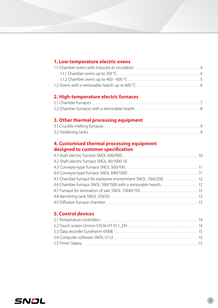#### **2. High-temperature electric furnaces**

#### **3. Other thermal processing equipment**

#### **4. Customised thermal processing equipment designed to customer specification**

| 4.2 Shaft electric furnace SNOL 40/1000 10                      |  |
|-----------------------------------------------------------------|--|
|                                                                 |  |
|                                                                 |  |
| 4.5 Chamber furnace for explosive environment SNOL 1560/200. 12 |  |
| 4.6 Chamber furnace SNOL 590/1500 with a removable hearth. 12   |  |
|                                                                 |  |
|                                                                 |  |
|                                                                 |  |
|                                                                 |  |

#### **5. Control devices**

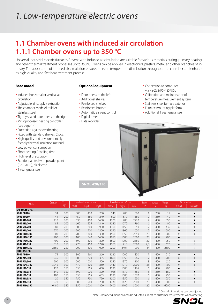### **1.1 Chamber ovens with induced air circulation 1.1.1 Chamber ovens up to 350 °C**

Universal industrial electric furnaces / ovens with induced air circulation are suitable for various materials curing, primary heating, and other thermal treatment processes up to 350 °C. Ovens can be applied in electronics, plastics, metal, and other branches of industry. The application of induced air circulation ensures an even temperature distribution throughout the chamber and enhances high-quality and fast heat treatment process.

#### **Base model**

- Induced horizontal or vertical air circulation
- Adjustable air supply / extraction
- The chamber made of mild or stainless steel
- Tightly sealed door opens to the right
- Microprocessor heating controller (see page 14)
- Protection against overheating
- Fitted with standard shelves, 2 pcs.
- High-quality and environmentally friendly thermal insulation material
- Low power consumption
- Short heating / cooling time
- High level of accuracy
- Exterior painted with powder paint (RAL 7035), black case
- 1 year guarantee

#### **Optional equipment**

- Door opens to the left
- Additional shelves
- Reinforced shelves
- Reinforced bottom
- Automatic air vent control
- Digital timer
- Data recorder

• Connection to computer via RS-232/RS-485/USB

- Calibration and maintenance of temperature measurement system
- Stainless steel furnace exterior
- Furnace mounting platform
- Additional 1 year guarantee



**SNOL 420/350**

|                       | Capacity | max            |       | Chamber dimensions, mm |        |       | Overall dimensions*, mm |        | Power | Voltage | Weight | Air circulation |            |
|-----------------------|----------|----------------|-------|------------------------|--------|-------|-------------------------|--------|-------|---------|--------|-----------------|------------|
| Model                 |          | 0 <sup>o</sup> | Width | Depth                  | Height | Width | Length                  | Height | kW    |         | kg     | Vertical        | Horizontal |
| Up to 250 $\degree$ C |          |                |       |                        |        |       |                         |        |       |         |        |                 |            |
| <b>SNOL 24/200</b>    | 24       | 200            | 300   | 410                    | 200    | 540   | 705                     | 560    |       | 230     | 17     | $\circ$         | $\bullet$  |
| <b>SNOL 44/200</b>    | 44       | 200            | 450   | 380                    | 240    | 600   | 670                     | 560    | 2     | 230     | 40     | $\circ$         | $\bullet$  |
| <b>SNOL 410/200</b>   | 410      | 200            | 530   | 400                    | 1600   | 1200  | 900                     | 2220   | 9     | 400     | 350    | $\circ$         |            |
| <b>SNOL 485/200</b>   | 485      | 200            | 660   | 555                    | 1340   | 1240  | 1070                    | 1790   | 6     | 400     | 400    | $\circ$         | ٠          |
| <b>SNOL 580/200</b>   | 580      | 200            | 800   | 800                    | 900    | 1300  | 1150                    | 1650   | 12    | 400     | 435    | ٠               | $\circ$    |
| SNOL 970/200          | 970      | 200            | 900   | 900                    | 1200   | 1290  | 1860                    | 1650   | 12    | 400     | 500    | $\circ$         | ٠          |
| SNOL 1300/200         | 1300     | 200            | 700   | 1300                   | 1300   | 1500  | 1950                    | 2350   | 20    | 400     | 900    | ٠               | $\circ$    |
| SNOL 1400/200         | 1400     | 200            | 1100  | 840                    | 1600   | 1950  | 1500                    | 2500   | 25    | 400     | 900    | $\bullet$       | $\circ$    |
| SNOL 1700/200         | 1700     | 200            | 690   | 1370                   | 1800   | 1500  | 1900                    | 2880   | 22    | 400     | 1050   | $\bullet$       | $\circ$    |
| <b>SNOL 510/250</b>   | 510      | 250            | 770   | 450                    | 1720   | 1565  | 910                     | 2580   | 7,5   | 400     | 620    | $\bullet$       | $\circ$    |
| SNOL 2160/250         | 2160     | 250            | 1200  | 1800                   | 1000   | 2200  | 2404                    | 1990   | 44    | 400     | 2500   |                 | $\circ$    |
| 300-350 °C            |          |                |       |                        |        |       |                         |        |       |         |        |                 |            |
| SNOL 75/300           | 75       | 300            | 800   | 560                    | 260    | 1230  | 1200                    | 850    | 7     | 400     | 210    | $\circ$         | $\bullet$  |
| SNOL 245/300          | 245      | 300            | 1000  | 720                    | 355    | 1600  | 1050                    | 965    | 7     | 400     | 200    | ٠               | $\circ$    |
| <b>SNOL 500/300</b>   | 500      | 300            | 1000  | 1000                   | 500    | 1250  | 1370                    | 1100   | 18    | 400     | 620    | $\circ$         | $\bullet$  |
| SNOL 3045/300         | 3045     | 300            | 1470  | 1500                   | 1860   | 2440  | 1910                    | 2900   | 38    | 400     | 1700   | $\bullet$       | $\circ$    |
| SNOL 120/350          | 120      | 350            | 555   | 555                    | 400    | 1290  | 1000                    | 1165   | 6     | 400     | 200    | ٠               | $\circ$    |
| SNOL 140/350          | 140      | 350            | 390   | 900                    | 390    | 925   | 1370                    | 685    | 8     | 230     | 160    | $\circ$         | ٠          |
| SNOL 180/350          | 180      | 350            | 555   | 555                    | 605    | 1290  | 1000                    | 1370   | 6     | 400     | 250    | ٠               | $\circ$    |
| SNOL 420/350          | 420      | 350            | 750   | 750                    | 750    | 1200  | 1350                    | 1250   | 6     | 400     | 250    | $\circ$         | $\bullet$  |
| SNOL 970/350          | 970      | 350            | 900   | 900                    | 1200   | 1730  | 1420                    | 2300   | 23    | 400     | 900    | $\bullet$       | $\circ$    |
| SNOL 6480/350         | 6480     | 350            | 1850  | 2000                   | 1800   | 2400  | 3100                    | 3000   | 120   | 400     | 6000   | $\bullet$       | $\circ$    |

\* Overall dimensions can be adjusted

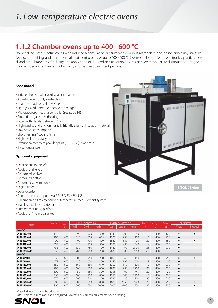### **1.1.2 Chamber ovens up to 400 - 600 °C**

Universal industrial electric ovens with induced air circulation are suitable for various materials curing, aging, annealing, stress relieving, normalising, and other thermal treatment processes up to 400 - 600 °C. Ovens can be applied in electronics, plastics, metal, and other branches of industry. The application of induced air circulation ensures an even temperature distribution throughout the chamber and enhances high-quality and fast heat treatment process.

Заваннышно

**ANGINE ANG PARTICIPATE** 

п

#### **Base model**

- Induced horizontal or vertical air circulation
- Adjustable air supply / extraction
- Chamber made of stainless steel
- Tightly sealed doors are opened to the right
- Microprocessor heating controller (see page 14)
- Protection against overheating
- Fitted with standard shelves, 2 pcs.
- High-quality and environmentally friendly thermal insulation material
- Low power consumption
- Short heating / cooling time
- High level of accuracy
- Exterior painted with powder paint (RAL 7035), black case
- 1 year guarantee

#### **Optional equipment**

- Door opens to the left
- Additional shelves
- Reinforced shelves
- Reinforced bottom
- Automatic air vent control
- Digital timer
- Data recorder
- Connection to computer via RS-232/RS-485/USB
- Calibration and maintenance of temperature measurement system
- Stainless steel oven exterior
- Furnace mounting platform
- Additional 1 year guarantee

|                      | Capacity | max            |       | Chamber dimensions, mm |        |       | Overall dimensions*, mm |        | Power           | Voltage | Weight | Air circulation |            |
|----------------------|----------|----------------|-------|------------------------|--------|-------|-------------------------|--------|-----------------|---------|--------|-----------------|------------|
| Model                |          | 0 <sup>o</sup> | Width | Depth                  | Height | Width | Length                  | Height | kW              |         | ka.    | Vertical        | Horizontal |
| 400 $\degree$ C      |          |                |       |                        |        |       |                         |        |                 |         |        |                 |            |
| <b>SNOL 140/400</b>  | 140      | 400            | 390   | 900                    | 390    | 1140  | 1700                    | 1050   | 8               | 400     | 120    | $\circ$         |            |
| <b>SNOL 180/400</b>  | 180      | 400            | 555   | 555                    | 605    | 1300  | 950                     | 1150   | 6               | 400     | 250    | $\bullet$       | $\circ$    |
| <b>SNOL 400/400</b>  | 400      | 400            | 700   | 700                    | 800    | 1560  | 1540                    | 1400   | 20              | 400     | 650    | $\circ$         |            |
| <b>SNOL 557/400</b>  | 557      | 400            | 850   | 735                    | 900    | 1580  | 1490                    | 1840   | 14              | 400     | 530    | $\bullet$       | $\circ$    |
| SNOL 735/400         | 735      | 400            | 830   | 750                    | 1490   | 1480  | 1490                    | 2400   | 35              | 400     | 1070   | ٠               | $\circ$    |
| SNOL 1730/400        | 1730     | 400            | 1200  | 1200                   | 1200   | 2030  | 1800                    | 2550   | 60              | 400     | 1620   | $\bullet$       | $\circ$    |
| 600 °C               |          |                |       |                        |        |       |                         |        |                 |         |        |                 |            |
| <b>SNOL 30/600</b>   | 30       | 600            | 300   | 450                    | 250    | 1050  | 960                     | 1150   | 6               | 400     | 250    | $\bullet$       | $\circ$    |
| SNOL 73/600          | 73       | 600            | 450   | 650                    | 250    | 1150  | 1195                    | 1600   | 8               | 400     | 400    | $\bullet$       | $\circ$    |
| <b>SNOL 180/600</b>  | 180      | 600            | 560   | 560                    | 610    | 1300  | 1110                    | 1500   | 10 <sup>2</sup> | 400     | 270    | $\bullet$       | $\circ$    |
| SNOL 290/600         | 290      | 600            | 600   | 800                    | 600    | 1820  | 1990                    | 2200   | 20 <sup>2</sup> | 400     | 630    | $\bullet$       | $\circ$    |
| <b>SNOL 300/600</b>  | 300      | 600            | 750   | 850                    | 390    | 1355  | 1400                    | 1745   | 20              | 400     | 420    | ٠               | $\circ$    |
| SNOL 360/600         | 360      | 600            | 600   | 700                    | 850    | 1250  | 1300                    | 2400   | 12              | 400     | 600    | ٠               | $\circ$    |
| <b>SNOL 970/600</b>  | 970      | 600            | 900   | 900                    | 1200   | 1730  | 1420                    | 2300   | 25              | 400     | 900    | $\bullet$       | $\circ$    |
| SNOL 1500/600        | 1500     | 600            | 1000  | 1500                   | 1000   | 1820  | 2050                    | 2240   | 30              | 400     | 1250   | $\bullet$       | $\circ$    |
| <b>SNOL 1800/600</b> | 1800     | 600            | 1000  | 1030                   | 2000   | 2000  | 2100                    | 2550   | 32              | 400     | 1750   | $\circ$         |            |

\* Overall dimensions can be adjusted

Note: Chamber dimensions can be adjusted subject to customer requirements when ordering



**SNOL 73/600**

**A LITERATURISMENT** 

**ANCHERING** 

**ANTHONY OF ALL AND AND ALL AND ADDRESS** 

ummmmmmm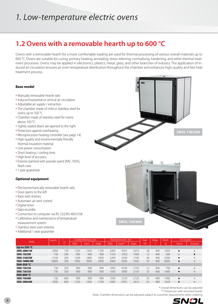### **1.2 Ovens with a removable hearth up to 600 °C**

Ovens with a removable hearth for a more comfortable loading are used for thermal processing of various overall materials up to 600 °C. Ovens are suitable for curing, primary heating, annealing, stress relieving, normalising, hardening, and other thermal treatment processes. Ovens may be applied in electronics, plastics, metal, glass, and other branches of industry. The application of induced air circulation ensures an even temperature distribution throughout the chamber and enhances high-quality and fast heat treatment process.

#### **Base model**

- Manually removable hearth rails
- Induced horizontal or vertical air circulation
- Adjustable air supply / extraction
- The chamber made of mild or stainless steel for ovens up to 350 °C
- Chamber made of stainless steel for ovens above 350 °C
- Tightly sealed doors are opened to the right
- Protection against overheating
- Microprocessor heating controller (see page 14)
- High-quality and environmentally friendly thermal insulation material
- Low power consumption
- Short heating / cooling time
- High level of accuracy
- Exterior painted with powder paint (RAL 7035), black case
- 1 year guarantee

#### **Optional equipment**

- Electromechanically removable hearth rails
- Door opens to the left
- Rack with shelves
- Automatic air vent control
- Digital timer
- Data recorder
- Connection to computer via RS-232/RS-485/USB
- Calibration and maintenance of temperature measurement system
- Stainless steel oven exterior
- Additional 1 year guarantee



|                | Capacity | max                          |       | Chamber dimensions, mm |               | Overall dimensions*, mm | Power    | Voltage       | Weight | Air circulation |      |           |                   |
|----------------|----------|------------------------------|-------|------------------------|---------------|-------------------------|----------|---------------|--------|-----------------|------|-----------|-------------------|
| Model          |          | $\mathfrak{o}(\mathfrak{g})$ | Width | Depth                  | <b>Height</b> | Width                   | Length** | <b>Height</b> | kW     |                 | ka   | Vertical  | <b>Horizontal</b> |
| Up to $250 °C$ |          |                              |       |                        |               |                         |          |               |        |                 |      |           |                   |
| SNOL 2000/150  | 2000     | 150                          | 1250  | 1450                   | 1100          | 2405                    | 4355     | 2410          | 28     | 400             | 1650 | $\bullet$ | $\circ$           |
| SNOL 730/200   | 730      | 200                          | 900   | 900                    | 900           | 1550                    | 3350     | 1500          | 12     | 400             | 300  | $\circ$   | $\bullet$         |
| SNOL 2160/200  | 2160     | 200                          | 1200  | 1800                   | 1000          | 2200                    | 2300     | 2100          | 44     | 400             | 2500 | $\bullet$ | $\circ$           |
| SNOL 10800/200 | 10800    | 200                          | 1800  | 3000                   | 2000          | 2460                    | 9300     | 3300          | 50     | 400             | 6000 | ٠         | $\circ$           |
| 300-350 °C     |          |                              |       |                        |               |                         |          |               |        |                 |      |           |                   |
| SNOL 730/350   | 730      | 350                          | 900   | 900                    | 900           | 1850                    | 4100     | 2150          | 12     | 400             | 700  | ٠         | $\circ$           |
| SNOL 730/350   | 730      | 350                          | 900   | 900                    | 900           | 1930                    | 3900     | 2150          | 35     | 400             | 1400 | $\bullet$ | $\circ$           |
| 400-600 °C     |          |                              |       |                        |               |                         |          |               |        |                 |      |           |                   |
| SNOL 730/600   | 730      | 600                          | 900   | 900                    | 900           | 1930                    | 2120     | 2120          | 35     | 400             | 1400 | $\bullet$ | $\circ$           |
| SNOL 2000/600  | 2000     | 600                          | 1250  | 1450                   | 1100          | 2405                    | 4355     | 2410          | 65     | 400             | 1620 | $\bullet$ | $\circ$           |

\* Overall dimensions can be adjusted

\*\* Dimension with removed hearth

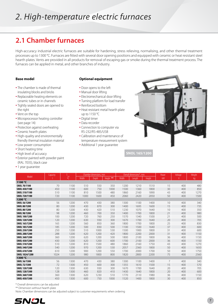# 2. High-temperature electric furnaces

### **2.1 Chamber furnaces**

High-accuracy industrial electric furnaces are suitable for hardening, stress relieving, normalising, and other thermal treatment processes up to 1300 °C. Furnaces are fitted with several door opening positions and equipped with ceramic or heat resistant steel hearth plates. Vents are provided in all products for removal of escaping gas or smoke during the thermal treatment process. The furnaces can be applied in metal, and other branches of industry.

#### **Base model**

- The chamber is made of thermal insulating blocks and bricks
- Replaceable heating elements on ceramic tubes or in channels
- Tightly sealed doors are opened to the right
- Vent on the top
- Microprocessor heating controller (see page 14)
- Protection against overheating
- Ceramic hearth plates
- High-quality and environmentally friendly thermal insulation material
- Low power consumption
- Short heating time
- High level of accuracy
- Exterior painted with powder paint (RAL 7035), black case
- 1 year guarantee

#### **Optional equipment**

- Door opens to the left
- Manual door lifting
- Electromechanical door lifting
- Turning platform for load transfer
- Reinforced bottom
- Heat resistant metal hearth plate up to 1150 °C
- Digital timer
- Data recorder
- Connection to computer via RS-232/RS-485/USB
- Calibration and maintenance of temperature measurement system
- Additional 1 year guarantee



**SNOL 165/1200**

|                     | Capacity | ' max |       | Chamber dimensions, mm |           |              | Overall dimensions*, mm |        | Power | Voltage | Weight |
|---------------------|----------|-------|-------|------------------------|-----------|--------------|-------------------------|--------|-------|---------|--------|
| Model               |          | O(    | Width | Depth                  | Height ** | <b>Width</b> | Length                  | Height | kW    |         | kq     |
| 1100 °C             |          |       |       |                        |           |              |                         |        |       |         |        |
| <b>SNOL 70/1100</b> | 70       | 1100  | 510   | 550                    | 350       | 1200         | 1210                    | 1510   | 15    | 400     | 480    |
| SNOL 450/1100       | 450      | 1100  | 600   | 750                    | 1000      | 1500         | 1360                    | 1800   | 30    | 400     | 850    |
| SNOL 510/1100       | 510      | 1100  | 810   | 1500                   | 480       | 1860         | 2160                    | 1890   | 43    | 400     | 1270   |
| SNOL 720/1100       | 720      | 1100  | 1000  | 1600                   | 450       | 2060         | 2420                    | 2050   | 50    | 400     | 1500   |
| 1200 °C             |          |       |       |                        |           |              |                         |        |       |         |        |
| SNOL 56/1200        | 56       | 1200  | 470   | 430                    | 380       | 1300         | 1100                    | 1400   | 10    | 400     | 340    |
| <b>SNOL 80/1200</b> | 80       | 1200  | 430   | 870                    | 300       | 1400         | 1695                    | 1600   | 15    | 400     | 735    |
| SNOL 80/1200        | 80       | 1200  | 430   | 420                    | 510       | 1230         | 1070                    | 1640   | 10    | 400     | 350    |
| SNOL 98/1200        | 98       | 1200  | 460   | 700                    | 350       | 1400         | 1700                    | 1800   | 21    | 400     | 980    |
| SNOL 100/1200       | 100      | 1200  | 720   | 760                    | 250       | 1570         | 1340                    | 1500   | 21    | 400     | 500    |
| SNOL 120/1200       | 120      | 1200  | 630   | 930                    | 300       | 1670         | 1700                    | 1640   | 20    | 400     | 705    |
| SNOL 165/1200       | 165      | 1200  | 560   | 850                    | 360       | 1800         | 1700                    | 1800   | 25    | 400     | 830    |
| SNOL 185/1200       | 185      | 1200  | 500   | 830                    | 500       | 1100         | 1500                    | 1640   | 37    | 400     | 600    |
| SNOL 250/1200       | 250      | 1200  | 510   | 1000                   | 530       | 1500         | 1900                    | 1800   | 31    | 400     | 600    |
| SNOL 288/1200       | 288      | 1200  | 620   | 1200                   | 420       | 1800         | 2200                    | 2000   | 31    | 400     | 1150   |
| SNOL 360/1200       | 360      | 1200  | 620   | 1200                   | 500       | 1800         | 2100                    | 1800   | 36    | 400     | 1150   |
| SNOL 430/1200       | 430      | 1200  | 620   | 1200                   | 600       | 1700         | 2100                    | 2000   | 36    | 400     | 1150   |
| SNOL 510/1200       | 510      | 1200  | 810   | 1500                   | 480       | 1860         | 2160                    | 1750   | 43    | 400     | 1270   |
| SNOL 540/1200       | 540      | 1200  | 970   | 1200                   | 530       | 2057         | 2360                    | 1800   | 50    | 400     | 1650   |
| SNOL 610/1200       | 610      | 1200  | 900   | 1200                   | 550       | 1700         | 2000                    | 1700   | 50    | 400     | 1750   |
| SNOL 1024/1200      | 1024     | 1200  | 980   | 1800                   | 800       | 1820         | 2800                    | 2200   | 75    | 400     | 2560   |
| 1300 °C             |          |       |       |                        |           |              |                         |        |       |         |        |
| SNOL 56/1300        | 56       | 1300  | 470   | 430                    | 380       | 1300         | 1100                    | 1400   | 7     | 400     | 340    |
| SNOL 72/1300        | 72       | 1300  | 450   | 600                    | 300       | 1355         | 1610                    | 1500   | 15    | 400     | 570    |
| SNOL 120/1300       | 120      | 1300  | 630   | 930                    | 300       | 1670         | 1700                    | 1640   | 20    | 400     | 705    |
| SNOL 128/1300       | 128      | 1300  | 460   | 820                    | 410       | 1430         | 1640                    | 1800   | 20    | 400     | 600    |
| SNOL 360/1300       | 360      | 1300  | 620   | 1230                   | 510       | 1770         | 2110                    | 1980   | 36    | 400     | 1150   |
| SNOL 450/1300       | 450      | 1300  | 600   | 750                    | 1000      | 1520         | 1400                    | 1800   | 30    | 400     | 850    |

\* Overall dimensions can be adjusted

\*\* Dimension without hearth plate

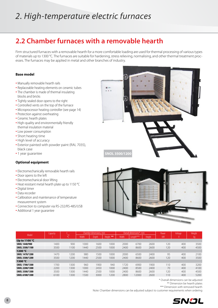# 2. High-temperature electric furnaces

### **2.2 Chamber furnaces with a removable hearth**

Firm structured furnaces with a removable hearth for a more comfortable loading are used for thermal processing of various types of materials up to 1300 °C. The furnaces are suitable for hardening, stress relieving, normalising, and other thermal treatment processes. The furnaces may be applied in metal and other branches of industry.

#### **Base model**

- Manually removable hearth rails
- Replaceable heating elements on ceramic tubes
- The chamber is made of thermal insulating blocks and bricks
- Tightly sealed door opens to the right
- Controlled vents on the top of the furnace
- Microprocessor heating controller (see page 14)
- Protection against overheating
- Ceramic hearth plates
- High-quality and environmentally friendly thermal insulation material
- Low power consumption
- Short heating time
- High level of accuracy
- Exterior painted with powder paint (RAL 7035), black case
- 1 year guarantee

#### **Optional equipment**

- Electromechanically removable hearth rails
- Door opens to the left
- Electromechanical door lifting
- Heat resistant metal hearth plate up to 1150 °C
- Digital timer
- Data recorder
- Calibration and maintenance of temperature measurement system
- Connection to computer via RS-232/RS-485/USB
- Additional 1 year guarantee





|                         | Capacity |           |       | Chamber dimensions, mm |                       |       | Overall dimensions*, mm |               | Power | Voltage | Weight |
|-------------------------|----------|-----------|-------|------------------------|-----------------------|-------|-------------------------|---------------|-------|---------|--------|
| Model                   |          | max<br>00 | Width | Depth.                 | <b>Height</b><br>$**$ | Width | Length***               | <b>Height</b> | kW.   |         | kq     |
| Up to 1100 $^{\circ}$ C |          |           |       |                        |                       |       |                         |               |       |         |        |
| SNOL 1440/900           | 1400     | 900       | 1000  | 1600                   | 1000                  | 2000  | 6700                    | 2600          | 120   | 400     | 3500   |
| SNOL 3500/1100          | 3500     | 1100      | 1440  | 2500                   | 1000                  | 2400  | 8600                    | 2600          | 120   | 400     | 4500   |
| 1200 $\degree$ C        |          |           |       |                        |                       |       |                         |               |       |         |        |
| SNOL 1470/1200          | 1470     | 1200      | 980   | 1500                   | 1000                  | 2000  | 6500                    | 2400          | 95    | 400     | 2100   |
| SNOL 3500/1200          | 3500     | 1200      | 1440  | 2500                   | 1000                  | 2400  | 8600                    | 2600          | 120   | 400     | 3500   |
| 1300 $\degree$ C        |          |           |       |                        |                       |       |                         |               |       |         |        |
| SNOL 1700/1300          | 1700     | 1300      | 960   | 1900                   | 940                   | 1720  | 6900                    | 1900          | 110   | 400     | 3200   |
| SNOL 2200/1300          | 2200     | 1300      | 1000  | 2450                   | 1000                  | 2400  | 8500                    | 2400          | 70    | 400     | 4100   |
| SNOL 3500/1300          | 3500     | 1300      | 1440  | 2500                   | 1000                  | 2400  | 8600                    | 2600          | 120   | 400     | 4500   |
| SNOL 6100/1300          | 6100     | 1300      | 1500  | 3000                   | 1200                  | 2800  | 12000                   | 2600          | 110   | 400     | 5200   |

\* Overall dimensions can be adjusted

\*\* Dimension be hearth plates

\*\*\* Dimension with removed hearth

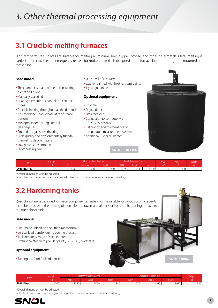# 3. Other thermal processing equipment

### **3.1 Crucible melting furnaces**

High temperature furnaces are suitable for melting aluminium, zinc, copper, bronze, and other base metals. Metal melting is carried out in crucibles; an emergency release for molten material is designed at the furnace bottom through the mounted ceramic tube.

#### **Base model**

- The chamber is made of thermal insulating blocks and bricks
- Manually sealed lid
- Heating elements in channels on ceramic tubes
- Crucible heating throughout all the dimension
- An emergency load release at the furnace bottom
- Microprocessor heating controller (see page 14)
- Protection against overheating
- High-quality and environmentally friendly thermal insulation material
- Low power consumption
- Short heating time
- High level of accuracy
- Exterior painted with heat resistant paints
- 1 year guarantee

#### **Optional equipment**

- Crucible
- Digital timer
- Data recorder
- Connection to computer via RS-232/RS-485/USB
- Calibration and maintenance of temperature measurement system
- Additional 1 year guarantee



ш

|               | <b>Capacity</b> |     | <b>Chamber dimensions.</b> | mm            |                 | "Overall dimensions" | mm ."               | In<br>r ovver | <b>Voltage</b> | <b>Weight</b>              |
|---------------|-----------------|-----|----------------------------|---------------|-----------------|----------------------|---------------------|---------------|----------------|----------------------------|
| Model         |                 |     | Diameter                   | <b>Height</b> | Width           | Lenath               | Height <sup>'</sup> | kW            |                |                            |
| SNOL 110/1100 | $110^{-1}$      | 100 | 660                        | 700           | 1250<br>$-0.00$ | 1340                 | 1700                | 30            | 400            | $\sim$ 1 $\sim$<br>7 I U I |

**SNOL 110/1100**

\* Overall dimensions can be adjusted

Note: Chamber dimensions can be adjusted subject to customer requirements when ordering.

### **3.2 Hardening tanks**

Quenching tank is designed for metal components hardening. It is s It can be fitted with the turning platform for the raw material trans the quenching tank.

#### **Base model**

- Pneumatic unloading and lifting mechanism
- Vertical load transfer during cooling process
- Tank interior is made of stainless steel
- Exterior painted with powder paint (RAL 7035), black case

#### **Optional equipment**

• Turning platform for load transfer

| suitable for various cooling agents.<br>fer from the hardening furnace to |                    |
|---------------------------------------------------------------------------|--------------------|
|                                                                           |                    |
|                                                                           |                    |
|                                                                           | <b>SNOL 1000/-</b> |

|             | Capacity          | r dimensions. mm :<br>наг |                    |        | Overall dimensions* | Weight |        |               |
|-------------|-------------------|---------------------------|--------------------|--------|---------------------|--------|--------|---------------|
| Model       |                   | <b>Width</b>              | Depth <sup>1</sup> | Height | <b>Width</b>        | Lenath | Height |               |
| SNOL 1000/- | 000<br><b>UUU</b> | 1345                      | 1060               | 840    | 1630                | 460    | 1070   | $\cap$<br>32U |

\* Overall dimensions can be adjusted

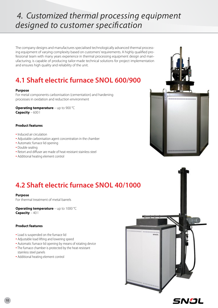## 4. Customized thermal processing equipment designed to customer specification

The company designs and manufactures specialised technologically advanced thermal processing equipment of varying complexity based on customers' requirements. A highly qualified professional team with many years experience in thermal processing equipment design and manufacturing, is capable of producing tailor-made technical solutions for project implementation and ensures high quality and reliability of the unit.

### **4.1 Shaft electric furnace SNOL 600/900**

#### **Purpose**

For metal components carbonisation (cementation) and hardening processes in oxidation and reduction environment

**Operating temperature** – up to 900 °C **Capacity** – 600 l

#### **Product features**

- Induced air circulation
- Adjustable carbonisation agent concentration in the chamber
- Automatic furnace lid opening
- Double sealing
- Retort and diffuser are made of heat-resistant stainless steel
- Additional heating element control



### **4.2 Shaft electric furnace SNOL 40/1000**

#### **Purpose**

For thermal treatment of metal barrels

**Operating temperature** – up to 1000 °C **Capacity** – 40 l

#### **Product features**

- Load is suspended on the furnace lid
- Adjustable load lifting and lowering speed
- Automatic furnace lid opening by means of rotating device
- The furnace chamber is protected by the heat-resistant stainless steel panels
- Additional heating element control

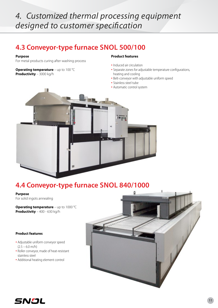#### 4. Customized thermal processing equipment . designed to customer specification

### **4.3 Conveyor-type furnace SNOL 500/100**

#### **Purpose**

For metal products curing after washing process

**Operating temperature** – up to 100 °C **Productivity** – 3000 kg/h

#### **Product features**

- Induced air circulation
- Separate zones for adjustable temperature configurations, heating and cooling
- Belt-conveyor with adjustable uniform speed
- Stainless steel tube
- Automatic control system



### **4.4 Conveyor-type furnace SNOL 840/1000**

**Purpose** For solid ingots annealing

**Operating temperature** – up to 1000 °C **Productivity** – 400 - 630 kg/h

#### **Product features**

- Adjustable uniform conveyor speed  $(2.5 - 6.0$  m/h)
- Roller conveyor, made of heat-resistant stainless steel
- Additional heating element control



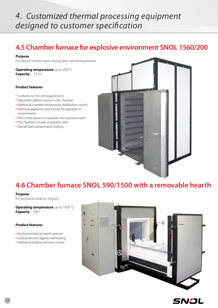## 4. Customized thermal processing equipment designed to customer specification

### **4.5 Chamberfurnace for explosive environment SNOL 1560/200**

#### **Purpose**

For electric motor stator drying after varnishing process

**Operating temperature** up to 200 °C **Capacity** –  $1,5$  m<sup>3</sup>

#### **Product features**

- Conforms to EN1539 requirements
- Adjustable airflow volume in the chamber
- Additional chamber temperature distribution control
- Electrical appliances and fittings for operation in environments
- The control panel in a separate non-explosive room
- The chamber is made of stainless steel
- Special load transportation trolleys



### **4.6 Chamber furnace SNOL 590/1500 with a removable hearth**

#### **Purpose**

For technical ceramic industry

**Operating temperature** up to 1500 °C **Capacity** – 590 l

#### **Product features**

- Electromechanical hearth removal
- Load protection against overheating
- Additional heating element control



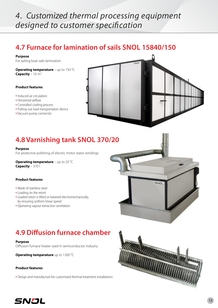#### . 4. Customized thermal processing equipment designed to customer specification

### **4.7 Furnace for lamination of sails SNOL 15840/150**

#### **Purpose**

For sailing boat sails lamination

**Operating temperature** – up to 150 °C **Capacity** –  $16 \text{ m}^3$ 

#### **Product features**

- Induced air circulation
- Horizontal airflow
- Controlled cooling process
- Pulling-out load transportation device
- Vacuum pump connector



### **4.8 Varnishing tank SNOL 370/20**

#### **Purpose**

For protective polishing of electric motor stator windings

**Operating temperature** – up to 20 °C **Capacity** – 370 l

#### **Product features**

- Made of stainless steel
- Loading on the retort
- Loaded retort is lifted or lowered electromechanically, by ensuring uniform linear speed
- Operating vapour extraction ventilation

### **4.9 Diffusion furnace chamber**

#### **Purpose**

Diffusion furnace heater used in semiconductor industry

**Operating temperature** up to 1300 °C

#### **Product features**

• Design and manufacture for customized thermal treatment installations





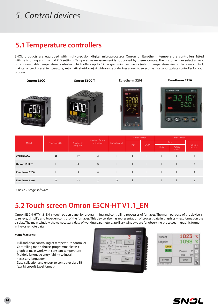### 5. Control devices

### **5.1 Temperature controllers**

SNOL products are equipped with high-precision digital microprocessor Omron or Eurotherm temperature controllers fitted with self-tuning and manual PID settings. Temperature measurement is supported by thermocouple. The customer can select a basic or programmable temperature controller, which offers up to 32 programming segments (rate of temperature rise or decrease control, maintenance of preset temperature, automatic shutdown). A wide range of devices allows to select the most appropriate controller for your process.

| <b>Omron E5CC</b> | <b>Omron E5CC-T</b> | Eurotherm 3208         | Eurotherm 3216           |
|-------------------|---------------------|------------------------|--------------------------|
|                   |                     | <b>EUROTHERM</b><br>四次 | <b>EUROTHERM</b><br>3216 |

|                   | Programmable | Number of<br>programs | Number of steps<br>in program | Computer port | Control metod |              | Control signal |                  |                      |
|-------------------|--------------|-----------------------|-------------------------------|---------------|---------------|--------------|----------------|------------------|----------------------|
| Model             |              |                       |                               |               | PID           | ON/OF        | Type           |                  |                      |
|                   |              |                       |                               |               |               |              | Relay          | Voltage<br>12VDC | Nubers of<br>outputs |
| <b>Omron E5CC</b> | $\circ$      | $1*$                  | 2                             |               |               |              |                |                  | 4                    |
| Omron E5CC-T      |              | 8                     | 32                            |               |               |              |                |                  |                      |
| Eurotherm 3208    |              | 5                     | 8                             | $\mathbf{L}$  |               | $\mathbf{I}$ | $\mathbf{L}$   |                  |                      |
| Eurotherm 3216    | o            | $1*$                  | 2                             | $\circ$       |               |              |                |                  |                      |

∗ Basic 2-stage software

### **5.2 Touch screen Omron E5CN-HT V1.1\_EN**

Omron E5CN-HT V1.1\_EN is touch screen panel for programming and controlling processes of furnaces. The main purpose of the device is to relieve, simplify and broaden control of the furnaces. This device also has representation of process data in graphics – text format on the display. The main window shows necessary data of working parameters, auxiliary windows are for observing processes in graphic format in live or remote data.

#### **Main features:**

- Full and clear controlling of temperature controller
- Controlling mode choice: programmable task graph or main work with constant temperature
- Multiple language entry (ability to install necessary language)
- Data collection and export to computer via USB (e.g. Microsoft Excel format).



| 1023                           |
|--------------------------------|
|                                |
| ü<br>Program<br>2<br>Step<br>o |
| <b>STOP</b>                    |
|                                |

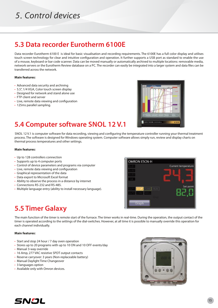# 4. Control devices 5. Control devices

### **5.3 Data recorder Eurotherm 6100E**

Data recorder Eurotherm 6100 E is ideal for basic visualisation and recording requirements. The 6100E has a full color display and utilises touch screen technology for clear and intuitive configuration and operation. It further supports a USB port as standard to enable the use of a mouse, keyboard or bar code scanner. Data can be moved manually or automatically archived to multiple locations: removable media, network servers or the Eurotherm Review database on a PC. The recorder can easily be integrated into a larger system and data files can be transferred across the network.

#### **Main features:**

- Advanced data security and archiving
- 5.5", 1/4 VGA, Color touch screen display
- Designed for network and stand alone use
- FTP client and server
- Live, remote data viewing and configuration
- 125ms parallel sampling.



### **5.4 Computer software SNOL 12 V.1**

SNOL 12 V.1 is computer software for data recording, viewing and configuring the temperature controller running your thermal treatment process. The software is designed for Windows operating system. Computer software allows simply run, review and display charts on thermal process temperatures and other settings.

#### **Main features:**

- Up to 128 controllers connection
- Supports up to 4 computer ports
- Control of device parameters and programs via computer
- Live, remote data viewing and configuration
- Graphical representation of the data
- Data export to Microsoft Excel format
- Ability to observe the process in a distance by internet
- Connections RS-232 and RS-485.
- Multiple language entry (ability to install necessary language).



### **5.5 Timer Galaxy**

The main function of the timer is remote start of the furnace. The timer works in real-time. During the operation, the output contact of the timer is operated according to the settings of the dial-switches. However, at all time it is possible to manually override this operation for each channel individually.

#### **Main features:**

- Start and stop 24 hour / 7 day oven operation
- Stores up to 20 programs with up to 10 ON and 10 OFF events/day
- Manual 3-way override
- 16 Amp, 277 VAC resistive SPDT output contacts
- Reserve carryover: 3 years (Non-replaceable battery)
- Manual Daylight Time Changeover
- 3 languages option
- Available only with Omron devices.